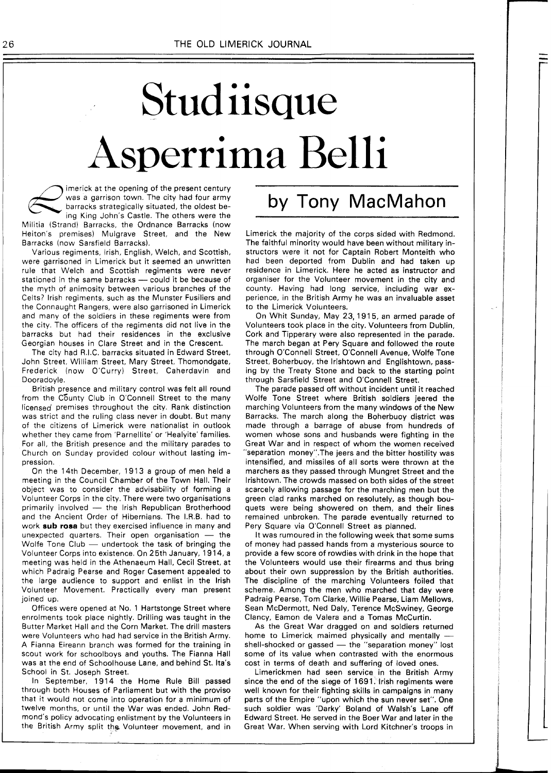## Stud iisque sperrima Belli

imerick at the opening of the present century was a garrison town. The city had four army barracks strategically situated, the oldest being King John's Castle. The others were the Militia (Strand) Barracks, the Ordnance Barracks (now Heiton's premises) Mulgrave Street, and the New

Barracks (now Sarsfield Barracks). Various regiments, Irish, English, Welch, and Scottish, were garrisoned in Limerick but it seemed an unwritten rule that Welch and Scottish regiments were never stationed in the same barracks - could it be because of the myth of animosity between various branches of the Celts? lrish regiments, such as the Munster Fusiliers and the Connaught Rangers, were also garrisoned in Limerick and many of the soldiers in these regiments were from the city. The officers of the regiments did not live in the barracks but had their residences in the exclusive Georgian houses in Clare Street and in the Crescent.

The city had R.I.C. barracks situated in Edward Street, John Street, William Street, Mary Street, Thomondgate, Frederick (now O'Curry) Street, Caherdavin and Dooradoyle.

British presence and military control was felt all round from the C6unty Club in O'Connell Street to the many licensed' premises throughout the city. Rank distinction was strict and the ruling class never in doubt. But many of the citizens of Limerick were nationalist in outlook whether they came from 'Parnellite' or 'Healyite' families. For all, the British presence and the military parades to Church on Sunday provided colour without lasting impression.

On the 14th December, 1913 a group of men held a meeting in the Council Chamber of the Town Hall. Their object was to consider the advisability of forming a Volunteer Corps in the city. There were two organisations object was to consider the advisability of forming a<br>Volunteer Corps in the city. There were two organisations<br>primarily involved — the Irish Republican Brotherhood<br>and the Apeient Order of Hiberniane, The LBB had to and the Ancient Order of Hibernians. The I.R.B. had to work **sub rosa** but they exercised influence in many and unexpected quarters. Their open organisation — the Meltic Trans Club work **sub rosa** but they exercised influence in many and unexpected quarters. Their open organisation - the<br>Wolfe Tone Club - undertook the task of bringing the Volunteer Corps into existence. On 25th January, 1914, a meeting was held in the Athenaeum Hall, Cecil Street, at which Padraig Pearse and Roger Casement appealed to the large audience to support and enlist in the lrish Volunteer Movement. Practically every man present joined up.

Offices were opened at No. 1 Hartstonge Street where enrolments took place nightly. Drilling was taught in the Butter Market Hall and the Corn Market. The drill masters were Volunteers who had had service in the British Army. A Fianna Eireann branch was formed for the training in scout work for schoolboys and youths. The Fianna Hall was at the end of Schoolhouse Lane, and behind St. Ita's School in St. Joseph Street.

In September, 1914 the Home Rule Bill passed through both Houses of Parliament but with the proviso that it would not come into operation for a minimum of twelve months, or until the War was ended. John Redmond's policy advocating enlistment by the Volunteers in the British Army split the Volunteer movement, and in

## by Tony MacMahon

Limerick the majority of the corps sided with Redmond. The faithful minority would have been without military instructors were it not for Captain Robert Monteith who had been deported from Dublin and had taken up residence in Limerick. Here he acted as instructor and organiser for the Volunteer movement in the city and county. Having had long service, including war experience, in the British Army he was an invaluable asset to the Limerick Volunteers.

On Whit Sunday, May 23, 1915, an armed parade of Volunteers took place in the city. Volunteers from Dublin, Cork and Tipperary were also represented in the parade. The march began at Pery Square and followed the route through O'Connell Street, O'Connell Avenue, Wolfe Tone Street, Boherbuoy, the lrishtown and Englishtown, passing by the Treaty Stone and back to the starting point through Sarsfield Street and O'Connell Street.

The parade passed off without incident until it reached Wolfe Tone Street where British soldiers jeered the marching Volunteers from the many windows of the New Barracks. The march along the Boherbuoy district was made through a barrage of abuse from hundreds of women whose sons and husbands were fighting in the Great War and in respect of whom the women received "separation money".The jeers and the bitter hostility was intensified, and missiles of all sorts were thrown at the marchers as they passed through Mungret Street and the Irishtown. The crowds massed on both sides of the street scarcely allowing passage for the marching men but the green clad ranks marched on resolutely, as though bouquets were being showered on them, and their lines remained unbroken. The parade eventually returned to Pery Square via O'Connell Street as planned.

It was rumoured in the following week that some sums of money had passed hands from a mysterious source to provide a few score of rowdies with drink in the hope that the Volunteers would use their firearms and thus bring about their own suppression by the British authorities. The discipline of the marching Volunteers foiled that scheme. Among the men who marched that day were Padraig Pearse, Tom Clarke, Willie Pearse, Liam Mellows, Sean McDermott, Ned Daly, Terence McSwiney, George Clancy, Eamon de Valera and a Tomas McCurtin.

As the Great War dragged on and soldiers returned Clancy, Eamon de Valera and a Tomas McCurtin.<br>As the Great War dragged on and soldiers returned<br>home to Limerick maimed physically and mentally —<br>shall shocked or gased As the Great War dragged on and soldiers returned<br>home to Limerick maimed physically and mentally —<br>shell-shocked or gassed — the "separation money" lost<br>nome of its value when moneted with money" lost some of its value when contrasted with the enormous cost in terms of death and suffering of loved ones.

Limerickmen had seen service in the British Army since the end of the siege of 1691. lrish regiments were well known for their fighting skills in campaigns in many parts of the Empire "upon which the sun never set". One such soldier was 'Darky' Boland of Walsh's Lane off Edward Street. He served in the Boer War and later in the Great War. When serving with Lord Kitchner's troops in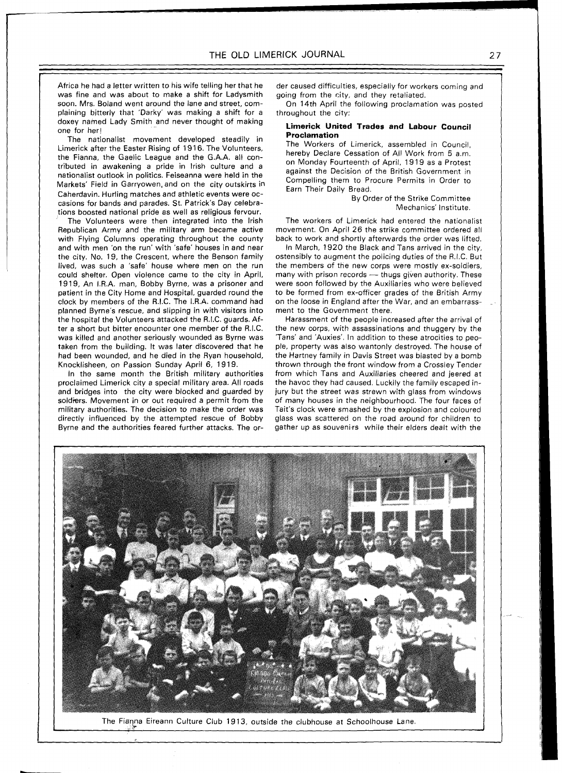Africa he had a letter written to his wife telling her that he was fine and was about to make a shift for Ladysmith soon. Mrs. Boland went around the lane and street, complaining bitterly that 'Darky' was making a shift for a doxey named Lady Smith and never thought of making one for her!

-

The nationalist movement developed steadily in Limerick after the Easter Rising of 1916. The Volunteers, the Fianna, the Gaelic League and the G.A.A. all contributed in awakening a pride in lrish culture and a nationalist outlook in politics. Feiseanna were held in the Markets' Field in Garryowen, and on the city outskirts in Caherdavin. Hurling matches and athletic events were occasions for bands and parades. St. Patrick's Day celebrations boosted national pride as well as religious fervour.

The Volunteers were then integrated into the lrish Republican Army and the military arm became active with Flying Columns operating throughout the county and with men 'on the run' with 'safe' houses in and near the city. No. 19, the Crescent, where the Benson family lived, was such a 'safe' house where men on the run could shelter. Open violence came to the city in April, 1919, An I.R.A. man, Bobby Byrne, was a prisoner and patient in the City Home and Hospital, guarded round the clock by members of the R.I.C. The I.R.A. command had planned Byrne's rescue, and slipping in with visitors into the hospital the Volunteers attacked the R.I.C. guards. After a short but bitter encounter one member of the R.I.C. was killed and another seriously wounded as Byrne was taken from the building. It was later discovered that he had been wounded, and he died in the Ryan household, Knocklisheen, on Passion Sunday April 6, 1919.

In the same month the British military authorities proclaimed Limerick city a special military area. All roads and bridges into the city were blocked and guarded by soldiers. Movement in or out required a permit from the military authorities. The decision to make the order was directly influenced by the attempted rescue of Bobby Byrne and the authorities feared further attacks. The order caused difficulties, especially for workers coming and going from the city, and they retaliated.

On 14th April the following proclamation was posted throughout the city:

## **Limerick United Trades and Labour Council Proclamation**

The Workers of Limerick, assembled in Council, hereby Declare Cessation of All Work from 5 a.m. on Monday Fourteenth of April, 19 19 as a Protest against the Decision of the British Government in Compelling them to Procure Permits in Order to Earn Their Daily Bread.

By Order of the Strike Committee Mechanics' Institute.

The workers of Limerick had entered the nationalist movement. On April 26 the strike committee ordered all back to work and shortly afterwards the order was lifted.

In March, 1920 the Black and Tans arrived in the city, ostensibly to augment the policing duties of the R.I.C. But the members of the new corps were mostly ex-soldiers, ostensibly to augment the policing duties of the R.I.C. But<br>the members of the new corps were mostly ex-soldiers,<br>many with prison records — thugs given authority. These<br>were seen followed by the Auxiliation who were belie were soon followed by the Auxiliaries who were believed to be formed from ex-officer grades of the British Army on the loose in England after the War, and an embarrassment to the Government there.

Harassment of the people increased after the arrival of the new corps, with assassinations and thuggery by the 'Tans' and 'Auxies'. In addition to these atrocities to people, property was also wantonly destroyed. The house of the Hartney family in Davis Street was blasted by a bomb thrown through the front window from a Crossley Tender from which Tans and Auxiliaries cheered and jeered at the havoc they had caused. Luckily the family escaped injury but the street was strewn with glass from windows of many houses in the neighbourhood. The four faces of Tait's clock were smashed by the explosion and coloured glass was scattered on the'road around for children to gather up as souvenirs while their elders dealt with the



The Fianna Eireann Culture Club 1913, outside the clubhouse at Schoolhouse Lane.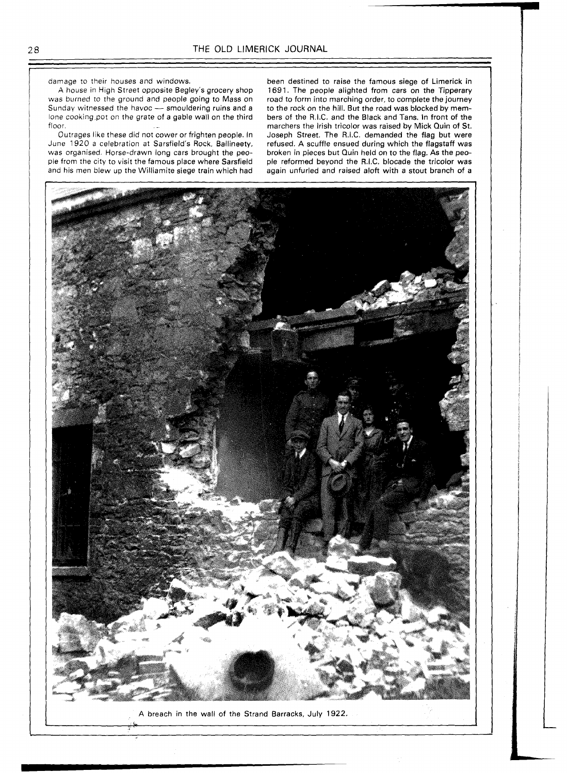damage to their houses and windows.

A house in High Street opposite Begley's grocery shop<br>was burned to the ground and people going to Mass on<br>Sunday witnessed the havoc — smouldering ruins and a was burned to the ground and people going to Mass on Sunday witnessed the havoc — smouldering ruins and a lone cooking,pot on the grate of a gable wall on the third floor.

Outrages like these did not cower or frighten people. In June 1920 a celebration at Sarsfield's Rock, Ballineety, was organised. Horse-drawn long cars brought the people from the city to visit the famous place where Sarsfield and his men blew up the Williamite siege train which had

been destined to raise the famous siege of Limerick in 1691. The people alighted from cars on the Tipperary road to form into marching order, to complete the journey to the rock on the hill. But the road was blocked by members of the R.I.C. and the Black and Tans. In front of the marchers the Irish tricolor was raised by Mick Quin of **St.**  Joseph Street. The R.I.C. demanded the flag but were refused. A scuffle ensued during which the flagstaff was broken in pieces but Quin held on to the flag. As the people reformed beyond the R.I.C. blocade the tricolor was again unfurled and raised aloft with a stout branch of a

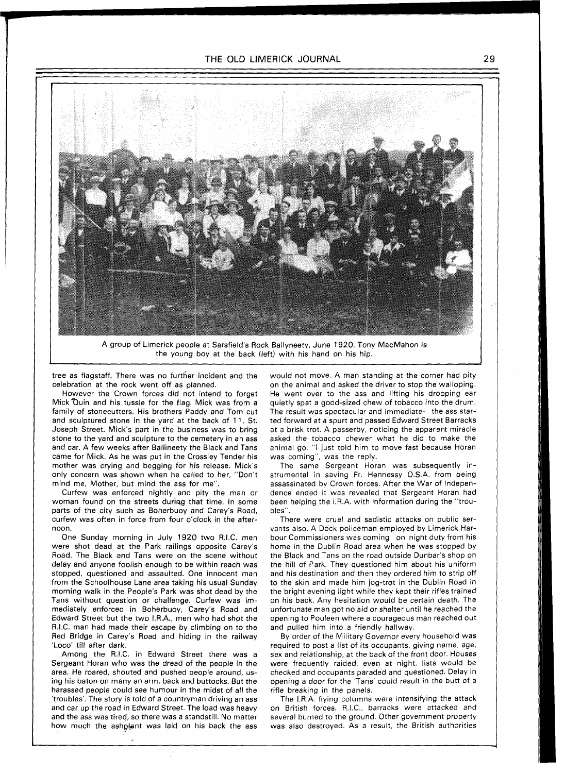

A group of Limerick people at Sarsfield's Rock Ballyneety, June 1920. Tony MacMahon is the young boy at the back (left) with his hand on his hip.

tree as flagstaff. There was no further incident and the celebration at the rock went off as planned.

However the Crown forces did not intend to forget Mick Quin and his tussle for the flag. Mick was from a family of stonecutters. His brothers Paddy and Tom cut and sculptured stone in the yard at the back of 11, St. Joseph Street. Mick's part in the business was to bring stone to the yard and sculpture to the cemetery in an ass and car. A few weeks after Ballineety the Black and Tans came for Mick. As he was put in the Crossley Tender his mother was crying and begging for his release. Mick's only concern was shown when he called to her, "Don't mind me, Mother, but mind the ass for me".

Curfew was enforced nightly and pity the man or woman found on the streets during that time. In some parts of the city such as Boherbuoy and Carey's Road, curfew was often in force from four o'clock in the afternoon.

One Sunday morning in July 1920 two R.I.C. men were shot dead at the Park railings opposite Carey's Road. The Black and Tans were on the scene without delay and anyone foolish enough to be within reach was stopped, questioned and assaulted. One innocent man from the Schoolhouse Lane area taking his usual Sunday morning walk in the People's Park was shot dead by the Tans without question or challenge. Curfew was immediately enforced in Boherbuoy, Carey's Road and Edward Street but the two I.R.A., men who had shot the R.I.C. man had made their escape by climbing on to the Red Bridge in Carey's Road and hiding in the railway 'Loco' till after dark.

Among the R.I.C. in Edward Street there was a Sergeant Horan who was the dread of the people in the area. He roared, shouted and pushed people around, using his baton on many an arm, back and buttocks. But the harassed people could see humour in the midst of all the 'troubles'. The story is told of a countryman driving an ass and car up the road in Edward Street. The load was heavy and the ass was tired, so there was a standstill. No matter how much the ashplant was laid on his back the ass would not move. A man standing at the corner had pity on the animal and asked the driver to stop the walloping. He went over to the ass and lifting his drooping ear quietly spat a good-sized chew of tobacco into the drum. The result was spectacular and immediate- the ass started forward at a spurt and passed Edward Street Barracks at a brisk trot. A passerby, noticing the apparent miracle asked the tobacco chewer what he did to make the animal go. "I just told him to move fast because Horan was coming", was the reply.

The same Sergeant Horan was subsequently instrumental in saving Fr. Hennessy O.S.A. from being assassinated by Crown forces. After the War of Independence ended it was revealed that Sergeant Horan had been helping the I.R.A. with information during the "troubles".

There were cruel and sadistic attacks on public servants also. A Dock policeman employed by Limerick Harbour Commissioners was coming on night duty from his home in the Dublin Road area when he was stopped by the Black and Tans on the road outside Dunbar's shop on the hill of Park. They questioned him about his uniform and his destination and then they ordered him to strip off to the skin and made him jog-trot in the Dublin Road in the bright evening light while they kept their rifles trained on his back. Any hesitation would be certain death. The unfortunate man got no aid or shelter until he reached the opening to Pouleen where a courageous man reached out and pulled him into a friendly hallway.

By order of the Military Governor every household was required to post a list of its occupants, giving name, age, sex and relationship, at the back of the front door. Houses were frequently raided, even at night, lists would be checked and occupants paraded and questioned. Delay in opening a door for the 'Tans' could result in the butt of a rifle breaking in the panels.

The IRA. flying columns were intensifying the attack on British forces. R.I.C., barracks were attacked and several burned to the ground. Other government property was also destroyed. As a result, the British authorities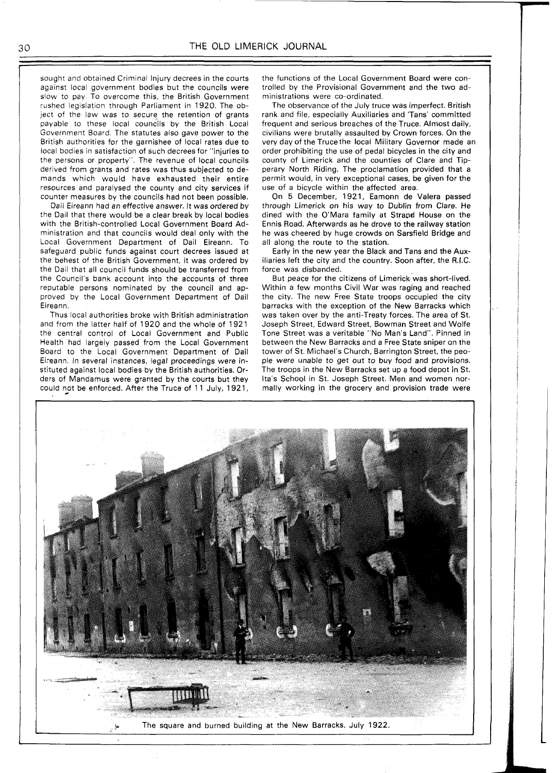sought and obtained Criminal Injury decrees in the courts against local government bodies but the councils were slow to pay. To overcome this, the British Government rushed legislation through Parliament in 1920. The object of the law was to secure the retention of grants payable to these local councils by the British Local Government Board. The statutes also gave power to the British authorities for the garnishee of local rates due to local bodies in satisfaction of such decrees for "injuries to the persons or property". The revenue of local councils derived from grants and rates was thus subjected to demands which would have exhausted their entire resources and paralysed the county and city services if counter measures by the councils had not been possible.

Dail Eireann had an effective answer. It was ordered by the Dail that there would be a clear break by local bodies with the British-controlled Local Government Board Administration and that councils would deal only with the Local Government Department of Dail Eireann. To safeguard public funds against court decrees issued at the behest of the British Government, it was ordered by the Dail that all council funds should be transferred from the Council's bank account into the accounts of three reputable persons nominated by the council and approved by the Local Government Department of Dail Eireann.

Thus local authorities broke with British administration and from the latter half of 1920 and the whole of 192 1 the central control of Local Government and Public Health had largely passed from the Local Government Board to the Local Government Department of Dail Eireann. In several instances, legal proceedings were instituted against local bodies by the British authorities. Orders of Mandamus were granted by the courts but they could not be enforced. After the Truce of 11 July, 1921,

the functions of the Local Government Board were controlled by the Provisional Government and the two administrations were co-ordinated.

The observance of the July truce was imperfect. British rank and file, especially Auxiliaries and 'Tans' committed frequent and serious breaches of the Truce. Almost daily, civilians were brutally assaulted by Crown forces. On the very day of the Trucethe local Military Governor made an order prohibiting the use of pedal bicycles in the city and county of Limerick and the counties of Clare and Tipperary North Riding. The proclamation provided that a permit would, in very exceptional cases, be given for the use of a bicycle within the affected area.

On 5 December, 1921, Eamonn de Valera passed through Limerick on his way to Dublin from Clare. He dined with the O'Mara family at Strand House on the Ennis Road. Afterwards as he drove to the railway station he was cheered by huge crowds on Sarsfield Bridge and all along the route to the station.

Early in the new year the Black and Tans and the Auxiliaries left the city and the country. Soon after, the R.I.C. force was disbanded.

But peace for the citizens of Limerick was short-lived. Within a few months Civil War was raging and reached the city. The new Free State troops occupied the city barracks with the exception of the New Barracks which was taken over by the anti-Treaty forces. The area of St. Joseph Street, Edward Street, Bowman Street and Wolfe Tone Street was a veritable "No Man's Land". Pinned in between the New Barracks and a Free State sniper on the tower of St. Michael's Church, Barrington Street, the people were unable to get out to buy food and provisions. The troops in the New Barracks set up a food depot in St. Ita's School in St. Joseph Street. Men and women normally working in the grocery and provision trade were



30